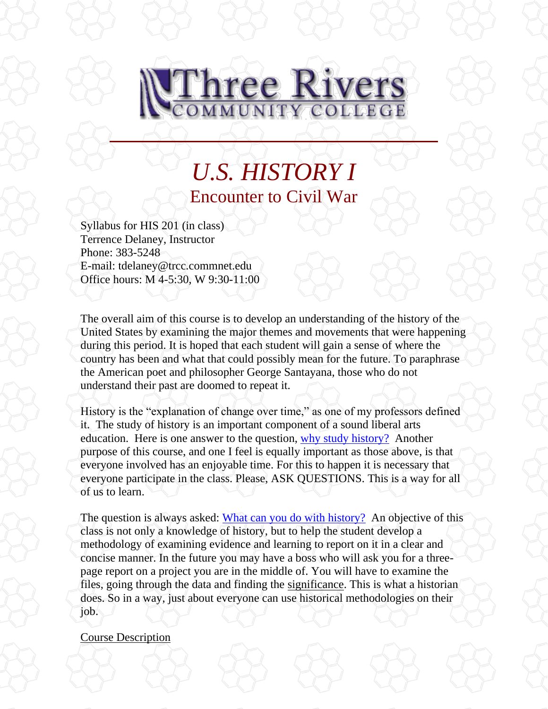

# *U.S. HISTORY I* Encounter to Civil War

Syllabus for HIS 201 (in class) Terrence Delaney, Instructor Phone: 383-5248 E-mail: tdelaney@trcc.commnet.edu Office hours: M 4-5:30, W 9:30-11:00

The overall aim of this course is to develop an understanding of the history of the United States by examining the major themes and movements that were happening during this period. It is hoped that each student will gain a sense of where the country has been and what that could possibly mean for the future. To paraphrase the American poet and philosopher George Santayana, those who do not understand their past are doomed to repeat it.

History is the "explanation of change over time," as one of my professors defined it. The study of history is an important component of a sound liberal arts education. Here is one answer to the question, [why study history?](http://history.hanover.edu/why.html) Another purpose of this course, and one I feel is equally important as those above, is that everyone involved has an enjoyable time. For this to happen it is necessary that everyone participate in the class. Please, ASK QUESTIONS. This is a way for all of us to learn.

The question is always asked: [What can you do with history?](http://www.trcc.commnet.edu/Prog_Study/Soc_Sciences/history/careeropportunities.htm) An objective of this class is not only a knowledge of history, but to help the student develop a methodology of examining evidence and learning to report on it in a clear and concise manner. In the future you may have a boss who will ask you for a threepage report on a project you are in the middle of. You will have to examine the files, going through the data and finding the significance. This is what a historian does. So in a way, just about everyone can use historical methodologies on their job.

#### Course Description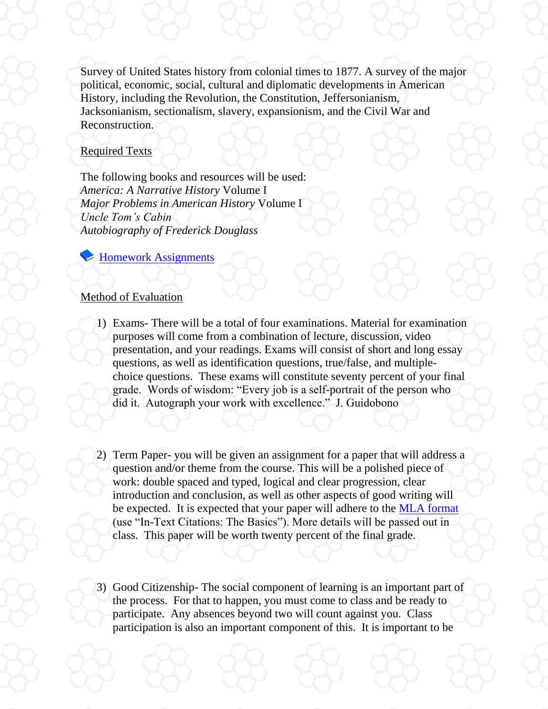Survey of United States history from colonial times to 1877. A survey of the major political, economic, social, cultural and diplomatic developments in American History, including the Revolution, the Constitution, Jeffersonianism, Jacksonianism, sectionalism, slavery, expansionism, and the Civil War and Reconstruction.

## Required Texts

The following books and resources will be used: *America: A Narrative History* Volume I *Major Problems in American History* Volume I *Uncle Tom's Cabin Autobiography of Frederick Douglass*

**Exercise** [Homework Assignments](file://///sysdwardite.commnet.edu/trcc$/www/Prog_Study/Soc_Sciences/history/delaney/ushist1/readlist.htm)

## Method of Evaluation

- 1) Exams- There will be a total of four examinations. Material for examination purposes will come from a combination of lecture, discussion, video presentation, and your readings. Exams will consist of short and long essay questions, as well as identification questions, true/false, and multiplechoice questions. These exams will constitute seventy percent of your final grade. Words of wisdom: "Every job is a self-portrait of the person who did it. Autograph your work with excellence." J. Guidobono
- 2) Term Paper- you will be given an assignment for a paper that will address a question and/or theme from the course. This will be a polished piece of work: double spaced and typed, logical and clear progression, clear introduction and conclusion, as well as other aspects of good writing will be expected. It is expected that your paper will adhere to the [MLA format](http://owl.english.purdue.edu/owl/resource/557/01/) (use "In-Text Citations: The Basics"). More details will be passed out in class. This paper will be worth twenty percent of the final grade.
- 3) Good Citizenship- The social component of learning is an important part of the process. For that to happen, you must come to class and be ready to participate. Any absences beyond two will count against you. Class participation is also an important component of this. It is important to be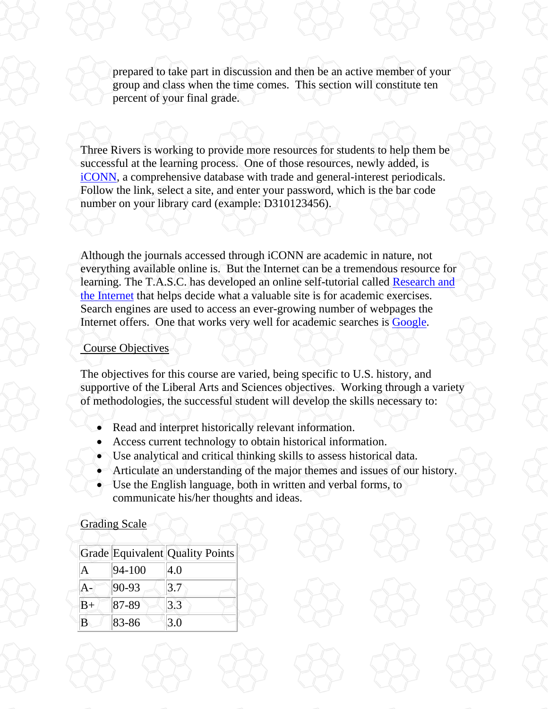prepared to take part in discussion and then be an active member of your group and class when the time comes. This section will constitute ten percent of your final grade.

Three Rivers is working to provide more resources for students to help them be successful at the learning process. One of those resources, newly added, is [iCONN,](http://rqst-agent.auto-graphics.com/homepages/customerwide/IpValidation.asp?lid=&cuid=rqst&cusrvr=minerva&dataid=&class=&barcode=) a comprehensive database with trade and general-interest periodicals. Follow the link, select a site, and enter your password, which is the bar code number on your library card (example: D310123456).

Although the journals accessed through iCONN are academic in nature, not everything available online is. But the Internet can be a tremendous resource for learning. The T.A.S.C. has developed an online self-tutorial called [Research and](http://www.trcc.commnet.edu/Ed_Resources/TASC/Internet/TASC%20Internet_files/frame.htm)  [the Internet](http://www.trcc.commnet.edu/Ed_Resources/TASC/Internet/TASC%20Internet_files/frame.htm) that helps decide what a valuable site is for academic exercises. Search engines are used to access an ever-growing number of webpages the Internet offers. One that works very well for academic searches is [Google.](http://www.google.com/)

### Course Objectives

The objectives for this course are varied, being specific to U.S. history, and supportive of the Liberal Arts and Sciences objectives. Working through a variety of methodologies, the successful student will develop the skills necessary to:

- Read and interpret historically relevant information.
- Access current technology to obtain historical information.
- Use analytical and critical thinking skills to assess historical data.
- Articulate an understanding of the major themes and issues of our history.
- Use the English language, both in written and verbal forms, to communicate his/her thoughts and ideas.

## Grading Scale

|      |            | Grade Equivalent Quality Points |
|------|------------|---------------------------------|
| A    | $94 - 100$ | 4.0                             |
| A-   | 90-93      | 3.7                             |
| $B+$ | 87-89      | 3.3                             |
| B    | 83-86      | 3.0                             |